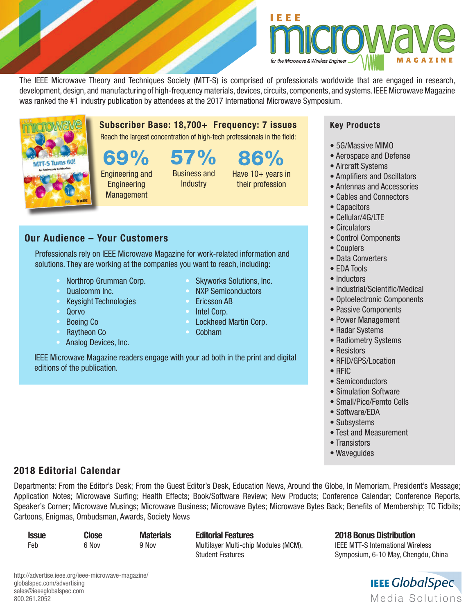

The IEEE Microwave Theory and Techniques Society (MTT-S) is comprised of professionals worldwide that are engaged in research, development, design, and manufacturing of high-frequency materials, devices, circuits, components, and systems. IEEE Microwave Magazine was ranked the #1 industry publication by attendees at the 2017 International Microwave Symposium.



Subscriber Base: 18,700+ Frequency: 7 issues

Reach the largest concentration of high-tech professionals in the field:

69% 57%

Engineering and **Engineering Management** 

Business and **Industry** 

86% Have 10+ years in

their profession

## Our Audience – Your Customers

Professionals rely on IEEE Microwave Magazine for work-related information and solutions. They are working at the companies you want to reach, including:

- Northrop Grumman Corp.
- Qualcomm Inc.
- Keysight Technologies
- Qorvo
- Boeing Co
- Raytheon Co
- Analog Devices, Inc.

IEEE Microwave Magazine readers engage with your ad both in the print and digital editions of the publication.

## Key Products

- 5G/Massive MIMO
- Aerospace and Defense
- Aircraft Systems
- Amplifiers and Oscillators
- Antennas and Accessories
- Cables and Connectors
- Capacitors
- Cellular/4G/LTE
- Circulators
- Control Components
- Couplers
- Data Converters
- EDA Tools
- Inductors
- Industrial/Scientific/Medical
- Optoelectronic Components
- Passive Components
- Power Management
- Radar Systems
- Radiometry Systems
- Resistors
- RFID/GPS/Location
- RFIC
- Semiconductors
- Simulation Software
- Small/Pico/Femto Cells
- Software/EDA
- Subsystems
- Test and Measurement
- Transistors
- Waveguides

## 2018 Editorial Calendar

Departments: From the Editor's Desk; From the Guest Editor's Desk, Education News, Around the Globe, In Memoriam, President's Message; Application Notes; Microwave Surfing; Health Effects; Book/Software Review; New Products; Conference Calendar; Conference Reports, Speaker's Corner; Microwave Musings; Microwave Business; Microwave Bytes; Microwave Bytes Back; Benefits of Membership; TC Tidbits; Cartoons, Enigmas, Ombudsman, Awards, Society News

| <i><b>Issue</b></i> | <b>Close</b> | <b>Materi</b> |
|---------------------|--------------|---------------|
| Feb                 | 6 Nov        | 9 Nov         |

Issue Close Materials Editorial Features 2018 Bonus Distribution Multilayer Multi-chip Modules (MCM), IEEE MTT-S International Wireless

Student Features Symposium, 6-10 May, Chengdu, China



Intel Corp.

- Lockheed Martin Corp.
- Cobham
- Skyworks Solutions, Inc.
- **NXP Semiconductors**
- Fricsson AB